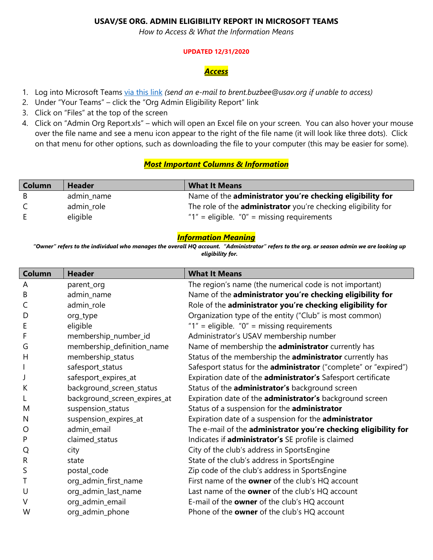# **USAV/SE ORG. ADMIN ELIGIBILITY REPORT IN MICROSOFT TEAMS**

*How to Access & What the Information Means*

#### **UPDATED 12/31/2020**

### *Access*

- 1. Log into Microsoft Teams [via this link](https://teams.microsoft.com/_#/files/Org%20Admin%20Eligibility%20Report?threadId=19%3Af8b65e6f0b9a4d2fab8c4f21d6159167%40thread.tacv2&ctx=channel&context=Org%2520Admin%2520Eligibility%2520Report&rootfolder=%252Fsites%252FUSA_Volleyball_Regions-OrgAdminEligibilityReport%252FShared%2520Documents%252FOrg%2520Admin%2520Eligibility%2520Report) *(send an e-mail to brent.buzbee@usav.org if unable to access)*
- 2. Under "Your Teams" click the "Org Admin Eligibility Report" link
- 3. Click on "Files" at the top of the screen
- 4. Click on "Admin Org Report.xls" which will open an Excel file on your screen. You can also hover your mouse over the file name and see a menu icon appear to the right of the file name (it will look like three dots). Click on that menu for other options, such as downloading the file to your computer (this may be easier for some).

### *Most Important Columns & Information*

| <b>Column</b> | <b>Header</b> | <b>What It Means</b>                                                 |
|---------------|---------------|----------------------------------------------------------------------|
| -B            | admin name    | Name of the administrator you're checking eligibility for            |
| C.            | admin_role    | The role of the <b>administrator</b> you're checking eligibility for |
| E.            | eligible      | " $1"$ = eligible. " $0"$ = missing requirements                     |

### *Information Meaning*

*"Owner" refers to the individual who manages the overall HQ account. "Administrator" refers to the org. or season admin we are looking up eligibility for.*

| <b>Column</b> | <b>Header</b>                | <b>What It Means</b>                                             |
|---------------|------------------------------|------------------------------------------------------------------|
| A             | parent_org                   | The region's name (the numerical code is not important)          |
| B             | admin_name                   | Name of the administrator you're checking eligibility for        |
| C             | admin_role                   | Role of the administrator you're checking eligibility for        |
| D             | org_type                     | Organization type of the entity ("Club" is most common)          |
| E             | eligible                     | " $1"$ = eligible. " $0"$ = missing requirements                 |
| F             | membership_number_id         | Administrator's USAV membership number                           |
| G             | membership_definition_name   | Name of membership the administrator currently has               |
| H             | membership_status            | Status of the membership the administrator currently has         |
|               | safesport_status             | Safesport status for the administrator ("complete" or "expired") |
|               | safesport_expires_at         | Expiration date of the administrator's Safesport certificate     |
| K             | background_screen_status     | Status of the <i>administrator's</i> background screen           |
| L             | background_screen_expires_at | Expiration date of the <b>administrator's</b> background screen  |
| M             | suspension_status            | Status of a suspension for the administrator                     |
| N             | suspension_expires_at        | Expiration date of a suspension for the administrator            |
| O             | admin_email                  | The e-mail of the administrator you're checking eligibility for  |
| P             | claimed_status               | Indicates if administrator's SE profile is claimed               |
| Q             | city                         | City of the club's address in SportsEngine                       |
| $\mathsf{R}$  | state                        | State of the club's address in SportsEngine                      |
| S             | postal_code                  | Zip code of the club's address in SportsEngine                   |
| T             | org_admin_first_name         | First name of the owner of the club's HQ account                 |
| U             | org_admin_last_name          | Last name of the owner of the club's HQ account                  |
| V             | org_admin_email              | E-mail of the owner of the club's HQ account                     |
| W             | org_admin_phone              | Phone of the owner of the club's HQ account                      |